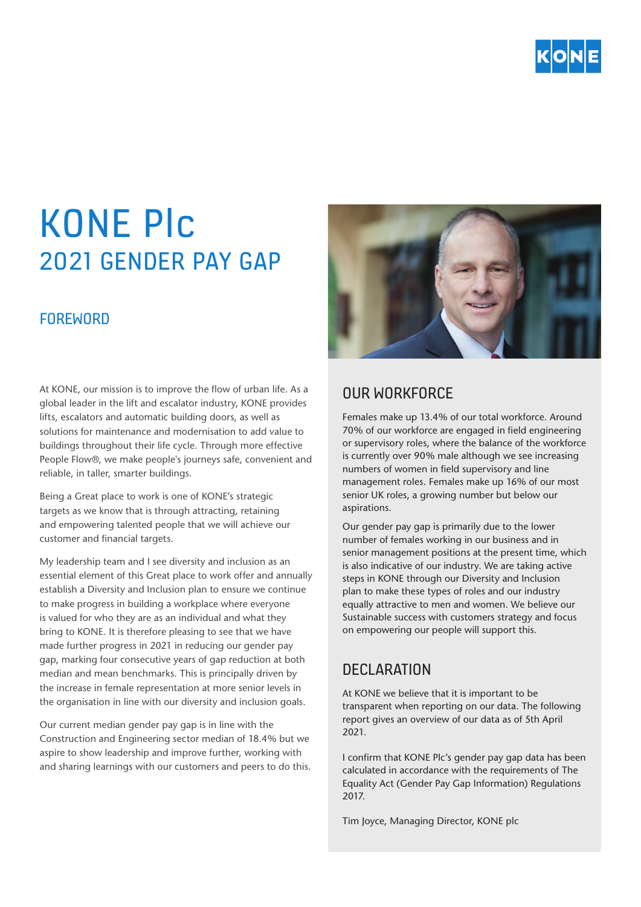

# KONE Plc 2021 GENDER PAY GAP

### **FOREWORD**

At KONE, our mission is to improve the flow of urban life. As a global leader in the lift and escalator industry, KONE provides lifts, escalators and automatic building doors, as well as solutions for maintenance and modernisation to add value to buildings throughout their life cycle. Through more effective People Flow®, we make people's journeys safe, convenient and reliable, in taller, smarter buildings.

Being a Great place to work is one of KONE's strategic targets as we know that is through attracting, retaining and empowering talented people that we will achieve our customer and financial targets.

My leadership team and I see diversity and inclusion as an essential element of this Great place to work offer and annually establish a Diversity and Inclusion plan to ensure we continue to make progress in building a workplace where everyone is valued for who they are as an individual and what they bring to KONE. It is therefore pleasing to see that we have made further progress in 2021 in reducing our gender pay gap, marking four consecutive years of gap reduction at both median and mean benchmarks. This is principally driven by the increase in female representation at more senior levels in the organisation in line with our diversity and inclusion goals.

Our current median gender pay gap is in line with the Construction and Engineering sector median of 18.4% but we aspire to show leadership and improve further, working with and sharing learnings with our customers and peers to do this.



## OUR WORKFORCE

Females make up 13.4% of our total workforce. Around 70% of our workforce are engaged in field engineering or supervisory roles, where the balance of the workforce is currently over 90% male although we see increasing numbers of women in field supervisory and line management roles. Females make up 16% of our most senior UK roles, a growing number but below our aspirations.

Our gender pay gap is primarily due to the lower number of females working in our business and in senior management positions at the present time, which is also indicative of our industry. We are taking active steps in KONE through our Diversity and Inclusion plan to make these types of roles and our industry equally attractive to men and women. We believe our Sustainable success with customers strategy and focus on empowering our people will support this.

## **DECLARATION**

At KONE we believe that it is important to be transparent when reporting on our data. The following report gives an overview of our data as of 5th April 2021.

I confirm that KONE Plc's gender pay gap data has been calculated in accordance with the requirements of The Equality Act (Gender Pay Gap Information) Regulations 2017.

Tim Joyce, Managing Director, KONE plc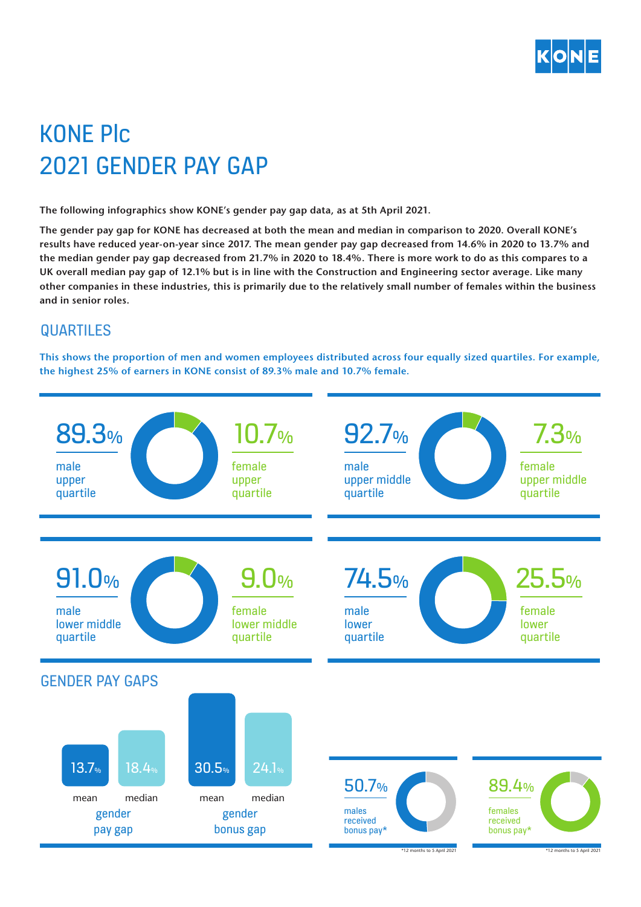

## KONE Plc 2021 GENDER PAY GAP

**The following infographics show KONE's gender pay gap data, as at 5th April 2021.** 

**The gender pay gap for KONE has decreased at both the mean and median in comparison to 2020. Overall KONE's results have reduced year-on-year since 2017. The mean gender pay gap decreased from 14.6% in 2020 to 13.7% and the median gender pay gap decreased from 21.7% in 2020 to 18.4%. There is more work to do as this compares to a UK overall median pay gap of 12.1% but is in line with the Construction and Engineering sector average. Like many**  UK overall median pay gap of 12.1% but is in line with the Construction and Engineering sector average. Like many<br>other companies in these industries, this is primarily due to the relatively small number of females within **and in senior roles.**

#### QUARTILES  $^{\prime\prime}$  and  $^{\prime\prime}$

**This shows the proportion of men and women employees distributed across four equally sized quartiles. For example, the highest 25% of earners in KONE consist of 89.3% male and 10.7% female.**